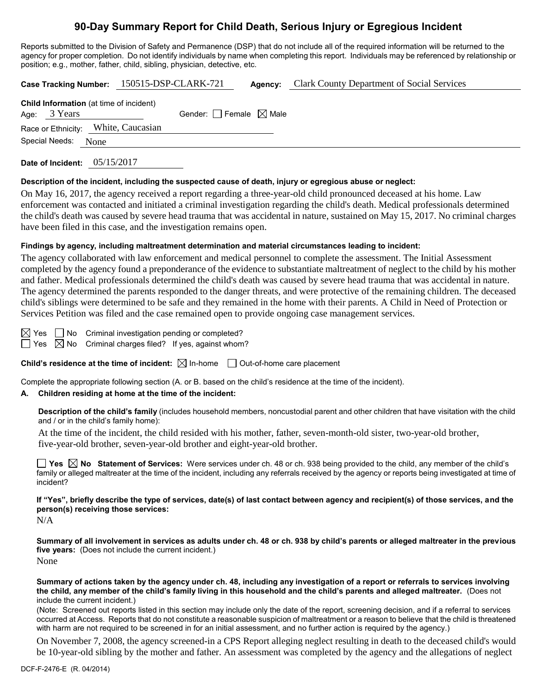# **90-Day Summary Report for Child Death, Serious Injury or Egregious Incident**

Reports submitted to the Division of Safety and Permanence (DSP) that do not include all of the required information will be returned to the agency for proper completion. Do not identify individuals by name when completing this report. Individuals may be referenced by relationship or position; e.g., mother, father, child, sibling, physician, detective, etc.

**Case Tracking Number:** 150515-DSP-CLARK-721 **Agency:** Clark County Department of Social Services **Child Information** (at time of incident)

| Age: 3 Years        |                                     | Gender: $\Box$ Female $\boxtimes$ Male |  |
|---------------------|-------------------------------------|----------------------------------------|--|
|                     | Race or Ethnicity: White, Caucasian |                                        |  |
| Special Needs: None |                                     |                                        |  |
|                     |                                     |                                        |  |

**Date of Incident:** 05/15/2017

## **Description of the incident, including the suspected cause of death, injury or egregious abuse or neglect:**

On May 16, 2017, the agency received a report regarding a three-year-old child pronounced deceased at his home. Law enforcement was contacted and initiated a criminal investigation regarding the child's death. Medical professionals determined the child's death was caused by severe head trauma that was accidental in nature, sustained on May 15, 2017. No criminal charges have been filed in this case, and the investigation remains open.

# **Findings by agency, including maltreatment determination and material circumstances leading to incident:**

The agency collaborated with law enforcement and medical personnel to complete the assessment. The Initial Assessment completed by the agency found a preponderance of the evidence to substantiate maltreatment of neglect to the child by his mother and father. Medical professionals determined the child's death was caused by severe head trauma that was accidental in nature. The agency determined the parents responded to the danger threats, and were protective of the remaining children. The deceased child's siblings were determined to be safe and they remained in the home with their parents. A Child in Need of Protection or Services Petition was filed and the case remained open to provide ongoing case management services.

 $\boxtimes$  Yes  $\Box$  No Criminal investigation pending or completed?  $\Box$  Yes  $\boxtimes$  No Criminal charges filed? If yes, against whom?

**Child's residence at the time of incident:**  $\boxtimes$  In-home  $\Box$  Out-of-home care placement

Complete the appropriate following section (A. or B. based on the child's residence at the time of the incident).

# **A. Children residing at home at the time of the incident:**

**Description of the child's family** (includes household members, noncustodial parent and other children that have visitation with the child and / or in the child's family home):

At the time of the incident, the child resided with his mother, father, seven-month-old sister, two-year-old brother, five-year-old brother, seven-year-old brother and eight-year-old brother.

**Yes**  $\boxtimes$  **No** Statement of Services: Were services under ch. 48 or ch. 938 being provided to the child, any member of the child's family or alleged maltreater at the time of the incident, including any referrals received by the agency or reports being investigated at time of incident?

**If "Yes", briefly describe the type of services, date(s) of last contact between agency and recipient(s) of those services, and the person(s) receiving those services:**

N/A

**Summary of all involvement in services as adults under ch. 48 or ch. 938 by child's parents or alleged maltreater in the previous five years:** (Does not include the current incident.) None

**Summary of actions taken by the agency under ch. 48, including any investigation of a report or referrals to services involving the child, any member of the child's family living in this household and the child's parents and alleged maltreater.** (Does not include the current incident.)

(Note: Screened out reports listed in this section may include only the date of the report, screening decision, and if a referral to services occurred at Access. Reports that do not constitute a reasonable suspicion of maltreatment or a reason to believe that the child is threatened with harm are not required to be screened in for an initial assessment, and no further action is required by the agency.)

On November 7, 2008, the agency screened-in a CPS Report alleging neglect resulting in death to the deceased child's would be 10-year-old sibling by the mother and father. An assessment was completed by the agency and the allegations of neglect